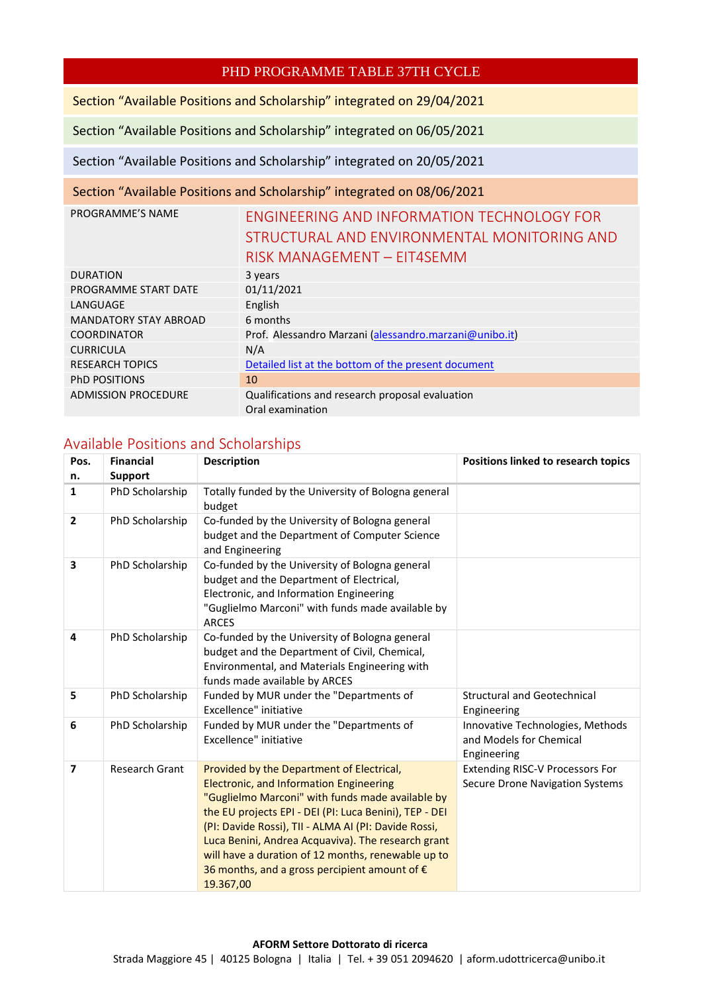# PHD PROGRAMME TABLE 37TH CYCLE

Section "Available Positions and Scholarship" integrated on 29/04/2021

Section "Available Positions and Scholarship" integrated on 06/05/2021

Section "Available Positions and Scholarship" integrated on 20/05/2021

### Section "Available Positions and Scholarship" integrated on 08/06/2021

| PROGRAMME'S NAME             | ENGINEERING AND INFORMATION TECHNOLOGY FOR             |
|------------------------------|--------------------------------------------------------|
|                              | STRUCTURAL AND ENVIRONMENTAL MONITORING AND            |
|                              | RISK MANAGEMENT - EIT4SEMM                             |
| <b>DURATION</b>              | 3 years                                                |
| PROGRAMME START DATE         | 01/11/2021                                             |
| LANGUAGE                     | English                                                |
| <b>MANDATORY STAY ABROAD</b> | 6 months                                               |
| <b>COORDINATOR</b>           | Prof. Alessandro Marzani (alessandro.marzani@unibo.it) |
| <b>CURRICULA</b>             | N/A                                                    |
| <b>RESEARCH TOPICS</b>       | Detailed list at the bottom of the present document    |
| <b>PHD POSITIONS</b>         | 10                                                     |
| <b>ADMISSION PROCEDURE</b>   | Qualifications and research proposal evaluation        |
|                              | Oral examination                                       |

## Available Positions and Scholarships

| Pos.<br>n.     | <b>Financial</b><br><b>Support</b> | <b>Description</b>                                                                                                                                                                                                                                                                                                                                                                                                                                   | Positions linked to research topics                                              |
|----------------|------------------------------------|------------------------------------------------------------------------------------------------------------------------------------------------------------------------------------------------------------------------------------------------------------------------------------------------------------------------------------------------------------------------------------------------------------------------------------------------------|----------------------------------------------------------------------------------|
| 1              | PhD Scholarship                    | Totally funded by the University of Bologna general<br>budget                                                                                                                                                                                                                                                                                                                                                                                        |                                                                                  |
| $\overline{2}$ | PhD Scholarship                    | Co-funded by the University of Bologna general<br>budget and the Department of Computer Science<br>and Engineering                                                                                                                                                                                                                                                                                                                                   |                                                                                  |
| 3              | PhD Scholarship                    | Co-funded by the University of Bologna general<br>budget and the Department of Electrical,<br>Electronic, and Information Engineering<br>"Guglielmo Marconi" with funds made available by<br><b>ARCES</b>                                                                                                                                                                                                                                            |                                                                                  |
| 4              | PhD Scholarship                    | Co-funded by the University of Bologna general<br>budget and the Department of Civil, Chemical,<br>Environmental, and Materials Engineering with<br>funds made available by ARCES                                                                                                                                                                                                                                                                    |                                                                                  |
| 5              | PhD Scholarship                    | Funded by MUR under the "Departments of<br>Excellence" initiative                                                                                                                                                                                                                                                                                                                                                                                    | <b>Structural and Geotechnical</b><br>Engineering                                |
| 6              | PhD Scholarship                    | Funded by MUR under the "Departments of<br>Excellence" initiative                                                                                                                                                                                                                                                                                                                                                                                    | Innovative Technologies, Methods<br>and Models for Chemical<br>Engineering       |
| $\overline{7}$ | <b>Research Grant</b>              | Provided by the Department of Electrical,<br><b>Electronic, and Information Engineering</b><br>"Guglielmo Marconi" with funds made available by<br>the EU projects EPI - DEI (PI: Luca Benini), TEP - DEI<br>(PI: Davide Rossi), TII - ALMA AI (PI: Davide Rossi,<br>Luca Benini, Andrea Acquaviva). The research grant<br>will have a duration of 12 months, renewable up to<br>36 months, and a gross percipient amount of $\epsilon$<br>19.367,00 | <b>Extending RISC-V Processors For</b><br><b>Secure Drone Navigation Systems</b> |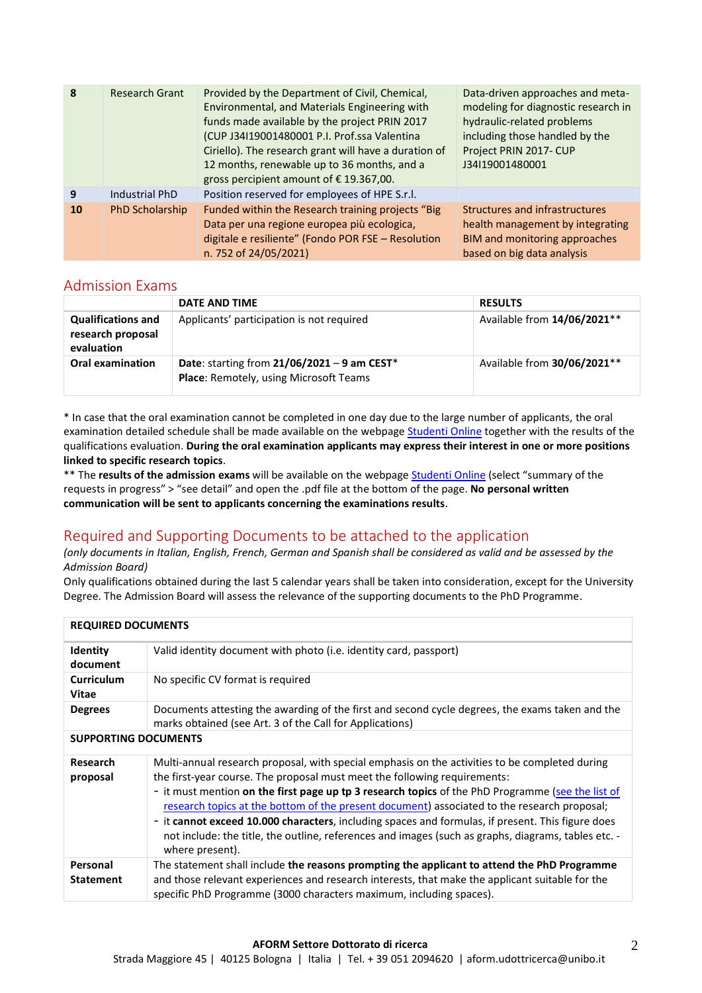| 8  | <b>Research Grant</b> | Provided by the Department of Civil, Chemical,<br>Environmental, and Materials Engineering with<br>funds made available by the project PRIN 2017<br>(CUP J34I19001480001 P.I. Prof.ssa Valentina<br>Ciriello). The research grant will have a duration of<br>12 months, renewable up to 36 months, and a<br>gross percipient amount of $\epsilon$ 19.367,00. | Data-driven approaches and meta-<br>modeling for diagnostic research in<br>hydraulic-related problems<br>including those handled by the<br>Project PRIN 2017- CUP<br>J34I19001480001 |
|----|-----------------------|--------------------------------------------------------------------------------------------------------------------------------------------------------------------------------------------------------------------------------------------------------------------------------------------------------------------------------------------------------------|--------------------------------------------------------------------------------------------------------------------------------------------------------------------------------------|
| 9  | Industrial PhD        | Position reserved for employees of HPE S.r.l.                                                                                                                                                                                                                                                                                                                |                                                                                                                                                                                      |
| 10 | PhD Scholarship       | Funded within the Research training projects "Big<br>Data per una regione europea più ecologica,<br>digitale e resiliente" (Fondo POR FSE - Resolution<br>n. 752 of 24/05/2021)                                                                                                                                                                              | Structures and infrastructures<br>health management by integrating<br>BIM and monitoring approaches<br>based on big data analysis                                                    |

### Admission Exams

|                                                              | DATE AND TIME                                                                           | <b>RESULTS</b>              |
|--------------------------------------------------------------|-----------------------------------------------------------------------------------------|-----------------------------|
| <b>Qualifications and</b><br>research proposal<br>evaluation | Applicants' participation is not required                                               | Available from 14/06/2021** |
| <b>Oral examination</b>                                      | Date: starting from $21/06/2021 - 9$ am CEST*<br>Place: Remotely, using Microsoft Teams | Available from 30/06/2021** |

\* In case that the oral examination cannot be completed in one day due to the large number of applicants, the oral examination detailed schedule shall be made available on the webpag[e Studenti Online](http://studenti.unibo.it/) together with the results of the qualifications evaluation. **During the oral examination applicants may express their interest in one or more positions linked to specific research topics**.

\*\* The **results of the admission exams** will be available on the webpage [Studenti Online](http://studenti.unibo.it/) (select "summary of the requests in progress" > "see detail" and open the .pdf file at the bottom of the page. **No personal written communication will be sent to applicants concerning the examinations results**.

# Required and Supporting Documents to be attached to the application

#### *(only documents in Italian, English, French, German and Spanish shall be considered as valid and be assessed by the Admission Board)*

Only qualifications obtained during the last 5 calendar years shall be taken into consideration, except for the University Degree. The Admission Board will assess the relevance of the supporting documents to the PhD Programme.

| <b>REQUIRED DOCUMENTS</b>    |                                                                                                                                                                                                                                                                                                                                                                                                                                                                                                                                                                                                                |  |
|------------------------------|----------------------------------------------------------------------------------------------------------------------------------------------------------------------------------------------------------------------------------------------------------------------------------------------------------------------------------------------------------------------------------------------------------------------------------------------------------------------------------------------------------------------------------------------------------------------------------------------------------------|--|
| Identity<br>document         | Valid identity document with photo (i.e. identity card, passport)                                                                                                                                                                                                                                                                                                                                                                                                                                                                                                                                              |  |
| <b>Curriculum</b><br>Vitae   | No specific CV format is required                                                                                                                                                                                                                                                                                                                                                                                                                                                                                                                                                                              |  |
| <b>Degrees</b>               | Documents attesting the awarding of the first and second cycle degrees, the exams taken and the<br>marks obtained (see Art. 3 of the Call for Applications)                                                                                                                                                                                                                                                                                                                                                                                                                                                    |  |
| <b>SUPPORTING DOCUMENTS</b>  |                                                                                                                                                                                                                                                                                                                                                                                                                                                                                                                                                                                                                |  |
| Research<br>proposal         | Multi-annual research proposal, with special emphasis on the activities to be completed during<br>the first-year course. The proposal must meet the following requirements:<br>- it must mention on the first page up tp 3 research topics of the PhD Programme (see the list of<br>research topics at the bottom of the present document) associated to the research proposal;<br>- it cannot exceed 10.000 characters, including spaces and formulas, if present. This figure does<br>not include: the title, the outline, references and images (such as graphs, diagrams, tables etc. -<br>where present). |  |
| Personal<br><b>Statement</b> | The statement shall include the reasons prompting the applicant to attend the PhD Programme<br>and those relevant experiences and research interests, that make the applicant suitable for the<br>specific PhD Programme (3000 characters maximum, including spaces).                                                                                                                                                                                                                                                                                                                                          |  |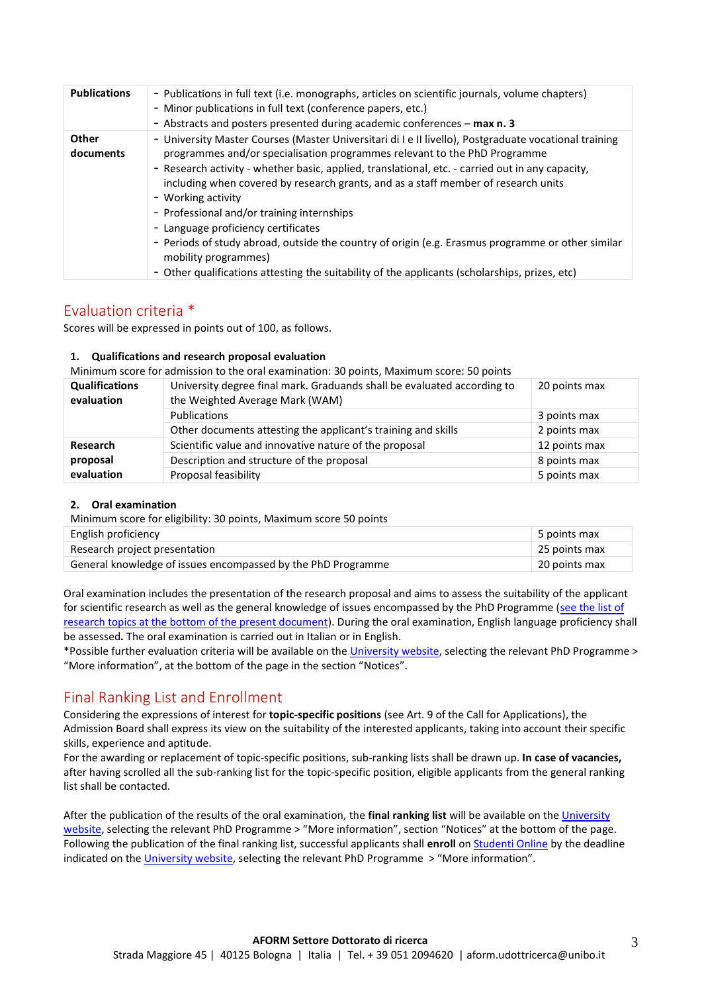| <b>Publications</b>       | - Publications in full text (i.e. monographs, articles on scientific journals, volume chapters)<br>- Minor publications in full text (conference papers, etc.)<br>- Abstracts and posters presented during academic conferences - max n. 3                                                                                                                                                                                                                                                                                                                                                                                                                                                                             |
|---------------------------|------------------------------------------------------------------------------------------------------------------------------------------------------------------------------------------------------------------------------------------------------------------------------------------------------------------------------------------------------------------------------------------------------------------------------------------------------------------------------------------------------------------------------------------------------------------------------------------------------------------------------------------------------------------------------------------------------------------------|
| <b>Other</b><br>documents | - University Master Courses (Master Universitari di I e Il livello), Postgraduate vocational training<br>programmes and/or specialisation programmes relevant to the PhD Programme<br>- Research activity - whether basic, applied, translational, etc. - carried out in any capacity,<br>including when covered by research grants, and as a staff member of research units<br>- Working activity<br>- Professional and/or training internships<br>- Language proficiency certificates<br>- Periods of study abroad, outside the country of origin (e.g. Erasmus programme or other similar<br>mobility programmes)<br>- Other qualifications attesting the suitability of the applicants (scholarships, prizes, etc) |

## Evaluation criteria \*

Scores will be expressed in points out of 100, as follows.

#### **1. Qualifications and research proposal evaluation**

Minimum score for admission to the oral examination: 30 points, Maximum score: 50 points

| <b>Qualifications</b><br>evaluation       | University degree final mark. Graduands shall be evaluated according to<br>the Weighted Average Mark (WAM) | 20 points max |
|-------------------------------------------|------------------------------------------------------------------------------------------------------------|---------------|
|                                           | Publications                                                                                               | 3 points max  |
|                                           | Other documents attesting the applicant's training and skills                                              | 2 points max  |
| <b>Research</b><br>proposal<br>evaluation | Scientific value and innovative nature of the proposal                                                     | 12 points max |
|                                           | Description and structure of the proposal                                                                  | 8 points max  |
|                                           | Proposal feasibility                                                                                       | 5 points max  |

#### **2. Oral examination**

Minimum score for eligibility: 30 points, Maximum score 50 points

| English proficiency                                          | 5 points max  |
|--------------------------------------------------------------|---------------|
| Research project presentation                                | 25 points max |
| General knowledge of issues encompassed by the PhD Programme | 20 points max |

Oral examination includes the presentation of the research proposal and aims to assess the suitability of the applicant for scientific research as well as the general knowledge of issues encompassed by the PhD Programme (see the list of research topics at the bottom [of the present document\)](#page-3-0). During the oral examination, English language proficiency shall be assessed**.** The oral examination is carried out in Italian or in English.

\*Possible further evaluation criteria will be available on the [University](https://www.unibo.it/en/teaching/phd/2021-2022) website, selecting the relevant PhD Programme > "More information", at the bottom of the page in the section "Notices".

# Final Ranking List and Enrollment

Considering the expressions of interest for **topic-specific positions** (see Art. 9 of the Call for Applications), the Admission Board shall express its view on the suitability of the interested applicants, taking into account their specific skills, experience and aptitude.

For the awarding or replacement of topic-specific positions, sub-ranking lists shall be drawn up. **In case of vacancies,**  after having scrolled all the sub-ranking list for the topic-specific position, eligible applicants from the general ranking list shall be contacted.

After the publication of the results of the oral examination, the **final ranking list** will be available on th[e University](https://www.unibo.it/en/teaching/phd/2021-2022)  [website](https://www.unibo.it/en/teaching/phd/2021-2022), selecting the relevant PhD Programme > "More information", section "Notices" at the bottom of the page. Following the publication of the final ranking list, successful applicants shall **enroll** o[n Studenti Online](http://studenti.unibo.it/) by the deadline indicated on th[e University website](https://www.unibo.it/en/teaching/phd/2021-2022), selecting the relevant PhD Programme > "More information".